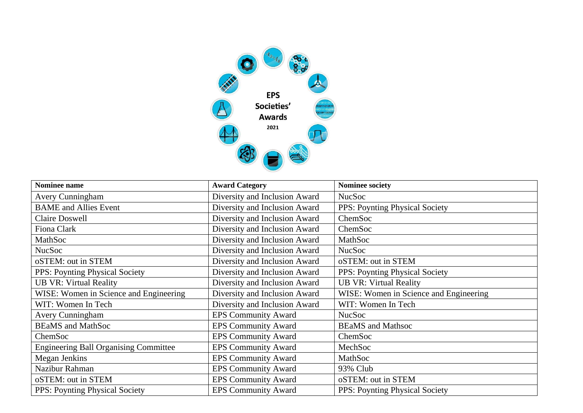

| Nominee name                                 | <b>Award Category</b>         | <b>Nominee society</b>                 |
|----------------------------------------------|-------------------------------|----------------------------------------|
| <b>Avery Cunningham</b>                      | Diversity and Inclusion Award | <b>NucSoc</b>                          |
| <b>BAME</b> and Allies Event                 | Diversity and Inclusion Award | PPS: Poynting Physical Society         |
| <b>Claire Doswell</b>                        | Diversity and Inclusion Award | ChemSoc                                |
| Fiona Clark                                  | Diversity and Inclusion Award | ChemSoc                                |
| MathSoc                                      | Diversity and Inclusion Award | MathSoc                                |
| <b>NucSoc</b>                                | Diversity and Inclusion Award | <b>NucSoc</b>                          |
| oSTEM: out in STEM                           | Diversity and Inclusion Award | oSTEM: out in STEM                     |
| <b>PPS:</b> Poynting Physical Society        | Diversity and Inclusion Award | PPS: Poynting Physical Society         |
| <b>UB VR: Virtual Reality</b>                | Diversity and Inclusion Award | <b>UB VR: Virtual Reality</b>          |
| WISE: Women in Science and Engineering       | Diversity and Inclusion Award | WISE: Women in Science and Engineering |
| WIT: Women In Tech                           | Diversity and Inclusion Award | WIT: Women In Tech                     |
| <b>Avery Cunningham</b>                      | <b>EPS Community Award</b>    | <b>NucSoc</b>                          |
| <b>BEaMS</b> and MathSoc                     | <b>EPS Community Award</b>    | <b>BEAMS</b> and Mathsoc               |
| ChemSoc                                      | <b>EPS Community Award</b>    | ChemSoc                                |
| <b>Engineering Ball Organising Committee</b> | <b>EPS Community Award</b>    | MechSoc                                |
| Megan Jenkins                                | <b>EPS Community Award</b>    | MathSoc                                |
| Nazibur Rahman                               | <b>EPS Community Award</b>    | 93% Club                               |
| oSTEM: out in STEM                           | <b>EPS Community Award</b>    | oSTEM: out in STEM                     |
| PPS: Poynting Physical Society               | <b>EPS Community Award</b>    | <b>PPS: Poynting Physical Society</b>  |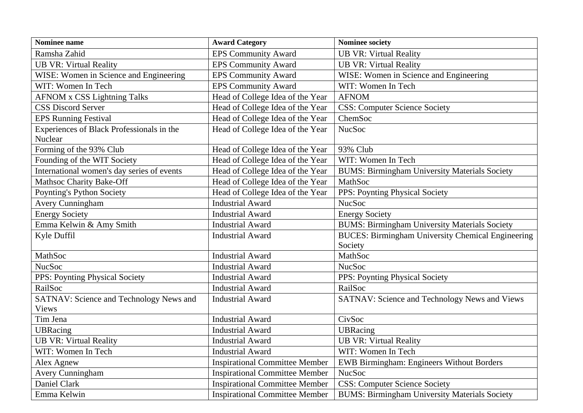| <b>Nominee name</b>                                  | <b>Award Category</b>                 | <b>Nominee society</b>                                   |
|------------------------------------------------------|---------------------------------------|----------------------------------------------------------|
| Ramsha Zahid                                         | <b>EPS Community Award</b>            | <b>UB VR: Virtual Reality</b>                            |
| <b>UB VR: Virtual Reality</b>                        | <b>EPS Community Award</b>            | <b>UB VR: Virtual Reality</b>                            |
| WISE: Women in Science and Engineering               | <b>EPS Community Award</b>            | WISE: Women in Science and Engineering                   |
| WIT: Women In Tech                                   | <b>EPS Community Award</b>            | WIT: Women In Tech                                       |
| <b>AFNOM x CSS Lightning Talks</b>                   | Head of College Idea of the Year      | <b>AFNOM</b>                                             |
| <b>CSS Discord Server</b>                            | Head of College Idea of the Year      | <b>CSS: Computer Science Society</b>                     |
| <b>EPS Running Festival</b>                          | Head of College Idea of the Year      | ChemSoc                                                  |
| Experiences of Black Professionals in the<br>Nuclear | Head of College Idea of the Year      | <b>NucSoc</b>                                            |
| Forming of the 93% Club                              | Head of College Idea of the Year      | 93% Club                                                 |
| Founding of the WIT Society                          | Head of College Idea of the Year      | WIT: Women In Tech                                       |
| International women's day series of events           | Head of College Idea of the Year      | <b>BUMS: Birmingham University Materials Society</b>     |
| Mathsoc Charity Bake-Off                             | Head of College Idea of the Year      | MathSoc                                                  |
| Poynting's Python Society                            | Head of College Idea of the Year      | PPS: Poynting Physical Society                           |
| <b>Avery Cunningham</b>                              | <b>Industrial Award</b>               | <b>NucSoc</b>                                            |
| <b>Energy Society</b>                                | <b>Industrial Award</b>               | <b>Energy Society</b>                                    |
| Emma Kelwin & Amy Smith                              | <b>Industrial Award</b>               | <b>BUMS: Birmingham University Materials Society</b>     |
| Kyle Duffil                                          | <b>Industrial Award</b>               | <b>BUCES: Birmingham University Chemical Engineering</b> |
|                                                      |                                       | Society                                                  |
| MathSoc                                              | <b>Industrial Award</b>               | MathSoc                                                  |
| <b>NucSoc</b>                                        | <b>Industrial Award</b>               | <b>NucSoc</b>                                            |
| PPS: Poynting Physical Society                       | <b>Industrial Award</b>               | PPS: Poynting Physical Society                           |
| RailSoc                                              | <b>Industrial Award</b>               | RailSoc                                                  |
| SATNAV: Science and Technology News and              | <b>Industrial Award</b>               | SATNAV: Science and Technology News and Views            |
| <b>Views</b>                                         |                                       |                                                          |
| Tim Jena                                             | <b>Industrial Award</b>               | CivSoc                                                   |
| <b>UBRacing</b>                                      | <b>Industrial Award</b>               | <b>UBRacing</b>                                          |
| <b>UB VR: Virtual Reality</b>                        | <b>Industrial Award</b>               | <b>UB VR: Virtual Reality</b>                            |
| WIT: Women In Tech                                   | <b>Industrial Award</b>               | WIT: Women In Tech                                       |
| Alex Agnew                                           | <b>Inspirational Committee Member</b> | EWB Birmingham: Engineers Without Borders                |
| <b>Avery Cunningham</b>                              | <b>Inspirational Committee Member</b> | <b>NucSoc</b>                                            |
| Daniel Clark                                         | <b>Inspirational Committee Member</b> | <b>CSS: Computer Science Society</b>                     |
| Emma Kelwin                                          | <b>Inspirational Committee Member</b> | <b>BUMS: Birmingham University Materials Society</b>     |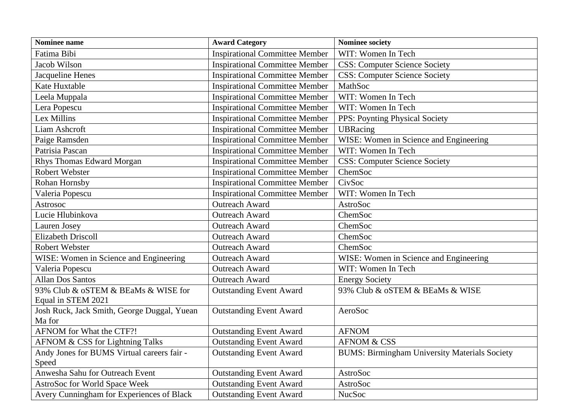| Nominee name                                | <b>Award Category</b>                 | Nominee society                                      |
|---------------------------------------------|---------------------------------------|------------------------------------------------------|
| Fatima Bibi                                 | <b>Inspirational Committee Member</b> | WIT: Women In Tech                                   |
| Jacob Wilson                                | <b>Inspirational Committee Member</b> | <b>CSS: Computer Science Society</b>                 |
| Jacqueline Henes                            | <b>Inspirational Committee Member</b> | <b>CSS: Computer Science Society</b>                 |
| Kate Huxtable                               | <b>Inspirational Committee Member</b> | MathSoc                                              |
| Leela Muppala                               | <b>Inspirational Committee Member</b> | WIT: Women In Tech                                   |
| Lera Popescu                                | <b>Inspirational Committee Member</b> | WIT: Women In Tech                                   |
| Lex Millins                                 | <b>Inspirational Committee Member</b> | PPS: Poynting Physical Society                       |
| Liam Ashcroft                               | <b>Inspirational Committee Member</b> | <b>UBRacing</b>                                      |
| Paige Ramsden                               | <b>Inspirational Committee Member</b> | WISE: Women in Science and Engineering               |
| Patrisia Pascan                             | <b>Inspirational Committee Member</b> | WIT: Women In Tech                                   |
| Rhys Thomas Edward Morgan                   | <b>Inspirational Committee Member</b> | <b>CSS: Computer Science Society</b>                 |
| Robert Webster                              | <b>Inspirational Committee Member</b> | ChemSoc                                              |
| Rohan Hornsby                               | <b>Inspirational Committee Member</b> | CivSoc                                               |
| Valeria Popescu                             | <b>Inspirational Committee Member</b> | WIT: Women In Tech                                   |
| Astrosoc                                    | <b>Outreach Award</b>                 | <b>AstroSoc</b>                                      |
| Lucie Hlubinkova                            | <b>Outreach Award</b>                 | ChemSoc                                              |
| Lauren Josey                                | <b>Outreach Award</b>                 | ChemSoc                                              |
| <b>Elizabeth Driscoll</b>                   | <b>Outreach Award</b>                 | ChemSoc                                              |
| <b>Robert Webster</b>                       | <b>Outreach Award</b>                 | ChemSoc                                              |
| WISE: Women in Science and Engineering      | <b>Outreach Award</b>                 | WISE: Women in Science and Engineering               |
| Valeria Popescu                             | <b>Outreach Award</b>                 | WIT: Women In Tech                                   |
| <b>Allan Dos Santos</b>                     | <b>Outreach Award</b>                 | <b>Energy Society</b>                                |
| 93% Club & oSTEM & BEaMs & WISE for         | <b>Outstanding Event Award</b>        | 93% Club & oSTEM & BEaMs & WISE                      |
| Equal in STEM 2021                          |                                       |                                                      |
| Josh Ruck, Jack Smith, George Duggal, Yuean | <b>Outstanding Event Award</b>        | AeroSoc                                              |
| Ma for                                      |                                       |                                                      |
| AFNOM for What the CTF?!                    | <b>Outstanding Event Award</b>        | <b>AFNOM</b>                                         |
| AFNOM & CSS for Lightning Talks             | <b>Outstanding Event Award</b>        | <b>AFNOM &amp; CSS</b>                               |
| Andy Jones for BUMS Virtual careers fair -  | <b>Outstanding Event Award</b>        | <b>BUMS: Birmingham University Materials Society</b> |
| Speed                                       |                                       |                                                      |
| Anwesha Sahu for Outreach Event             | <b>Outstanding Event Award</b>        | AstroSoc                                             |
| AstroSoc for World Space Week               | <b>Outstanding Event Award</b>        | AstroSoc                                             |
| Avery Cunningham for Experiences of Black   | <b>Outstanding Event Award</b>        | <b>NucSoc</b>                                        |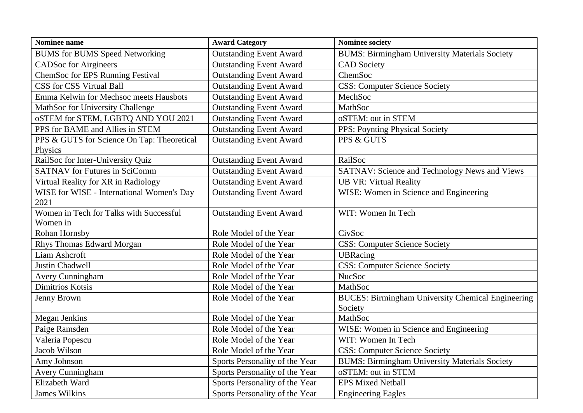| Nominee name                               | <b>Award Category</b>          | <b>Nominee society</b>                                   |
|--------------------------------------------|--------------------------------|----------------------------------------------------------|
| <b>BUMS</b> for BUMS Speed Networking      | <b>Outstanding Event Award</b> | <b>BUMS: Birmingham University Materials Society</b>     |
| <b>CADSoc for Airgineers</b>               | <b>Outstanding Event Award</b> | <b>CAD</b> Society                                       |
| ChemSoc for EPS Running Festival           | <b>Outstanding Event Award</b> | ChemSoc                                                  |
| CSS for CSS Virtual Ball                   | <b>Outstanding Event Award</b> | <b>CSS: Computer Science Society</b>                     |
| Emma Kelwin for Mechsoc meets Hausbots     | <b>Outstanding Event Award</b> | MechSoc                                                  |
| MathSoc for University Challenge           | <b>Outstanding Event Award</b> | MathSoc                                                  |
| oSTEM for STEM, LGBTQ AND YOU 2021         | <b>Outstanding Event Award</b> | oSTEM: out in STEM                                       |
| PPS for BAME and Allies in STEM            | <b>Outstanding Event Award</b> | <b>PPS: Poynting Physical Society</b>                    |
| PPS & GUTS for Science On Tap: Theoretical | <b>Outstanding Event Award</b> | PPS & GUTS                                               |
| Physics                                    |                                |                                                          |
| RailSoc for Inter-University Quiz          | <b>Outstanding Event Award</b> | RailSoc                                                  |
| <b>SATNAV</b> for Futures in SciComm       | <b>Outstanding Event Award</b> | SATNAV: Science and Technology News and Views            |
| Virtual Reality for XR in Radiology        | <b>Outstanding Event Award</b> | <b>UB VR: Virtual Reality</b>                            |
| WISE for WISE - International Women's Day  | <b>Outstanding Event Award</b> | WISE: Women in Science and Engineering                   |
| 2021                                       |                                |                                                          |
| Women in Tech for Talks with Successful    | <b>Outstanding Event Award</b> | WIT: Women In Tech                                       |
| Women in                                   |                                |                                                          |
| Rohan Hornsby                              | Role Model of the Year         | CivSoc                                                   |
| Rhys Thomas Edward Morgan                  | Role Model of the Year         | <b>CSS: Computer Science Society</b>                     |
| Liam Ashcroft                              | Role Model of the Year         | <b>UBRacing</b>                                          |
| Justin Chadwell                            | Role Model of the Year         | <b>CSS: Computer Science Society</b>                     |
| Avery Cunningham                           | Role Model of the Year         | <b>NucSoc</b>                                            |
| Dimitrios Kotsis                           | Role Model of the Year         | MathSoc                                                  |
| Jenny Brown                                | Role Model of the Year         | <b>BUCES: Birmingham University Chemical Engineering</b> |
|                                            |                                | Society                                                  |
| Megan Jenkins                              | Role Model of the Year         | MathSoc                                                  |
| Paige Ramsden                              | Role Model of the Year         | WISE: Women in Science and Engineering                   |
| Valeria Popescu                            | Role Model of the Year         | WIT: Women In Tech                                       |
| Jacob Wilson                               | Role Model of the Year         | <b>CSS: Computer Science Society</b>                     |
| Amy Johnson                                | Sports Personality of the Year | <b>BUMS: Birmingham University Materials Society</b>     |
| Avery Cunningham                           | Sports Personality of the Year | oSTEM: out in STEM                                       |
| Elizabeth Ward                             | Sports Personality of the Year | <b>EPS Mixed Netball</b>                                 |
| <b>James Wilkins</b>                       | Sports Personality of the Year | <b>Engineering Eagles</b>                                |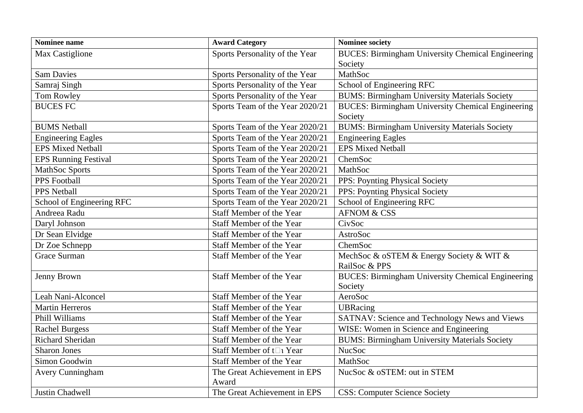| <b>Nominee name</b>         | <b>Award Category</b>           | <b>Nominee society</b>                                   |
|-----------------------------|---------------------------------|----------------------------------------------------------|
| Max Castiglione             | Sports Personality of the Year  | <b>BUCES: Birmingham University Chemical Engineering</b> |
|                             |                                 | Society                                                  |
| <b>Sam Davies</b>           | Sports Personality of the Year  | MathSoc                                                  |
| Samraj Singh                | Sports Personality of the Year  | School of Engineering RFC                                |
| Tom Rowley                  | Sports Personality of the Year  | <b>BUMS: Birmingham University Materials Society</b>     |
| <b>BUCES FC</b>             | Sports Team of the Year 2020/21 | <b>BUCES: Birmingham University Chemical Engineering</b> |
|                             |                                 | Society                                                  |
| <b>BUMS</b> Netball         | Sports Team of the Year 2020/21 | <b>BUMS: Birmingham University Materials Society</b>     |
| <b>Engineering Eagles</b>   | Sports Team of the Year 2020/21 | <b>Engineering Eagles</b>                                |
| <b>EPS Mixed Netball</b>    | Sports Team of the Year 2020/21 | <b>EPS Mixed Netball</b>                                 |
| <b>EPS Running Festival</b> | Sports Team of the Year 2020/21 | ChemSoc                                                  |
| MathSoc Sports              | Sports Team of the Year 2020/21 | MathSoc                                                  |
| PPS Football                | Sports Team of the Year 2020/21 | PPS: Poynting Physical Society                           |
| <b>PPS Netball</b>          | Sports Team of the Year 2020/21 | PPS: Poynting Physical Society                           |
| School of Engineering RFC   | Sports Team of the Year 2020/21 | School of Engineering RFC                                |
| Andreea Radu                | Staff Member of the Year        | <b>AFNOM &amp; CSS</b>                                   |
| Daryl Johnson               | Staff Member of the Year        | CivSoc                                                   |
| Dr Sean Elvidge             | Staff Member of the Year        | <b>AstroSoc</b>                                          |
| Dr Zoe Schnepp              | <b>Staff Member of the Year</b> | ChemSoc                                                  |
| <b>Grace Surman</b>         | Staff Member of the Year        | MechSoc & oSTEM & Energy Society & WIT &                 |
|                             |                                 | RailSoc & PPS                                            |
| Jenny Brown                 | <b>Staff Member of the Year</b> | <b>BUCES: Birmingham University Chemical Engineering</b> |
|                             |                                 | Society                                                  |
| Leah Nani-Alconcel          | Staff Member of the Year        | AeroSoc                                                  |
| <b>Martin Herreros</b>      | Staff Member of the Year        | <b>UBRacing</b>                                          |
| Phill Williams              | Staff Member of the Year        | SATNAV: Science and Technology News and Views            |
| <b>Rachel Burgess</b>       | Staff Member of the Year        | WISE: Women in Science and Engineering                   |
| <b>Richard Sheridan</b>     | Staff Member of the Year        | <b>BUMS: Birmingham University Materials Society</b>     |
| <b>Sharon Jones</b>         | Staff Member of t□ Year         | <b>NucSoc</b>                                            |
| Simon Goodwin               | Staff Member of the Year        | MathSoc                                                  |
| Avery Cunningham            | The Great Achievement in EPS    | NucSoc & oSTEM: out in STEM                              |
|                             | Award                           |                                                          |
| Justin Chadwell             | The Great Achievement in EPS    | <b>CSS: Computer Science Society</b>                     |